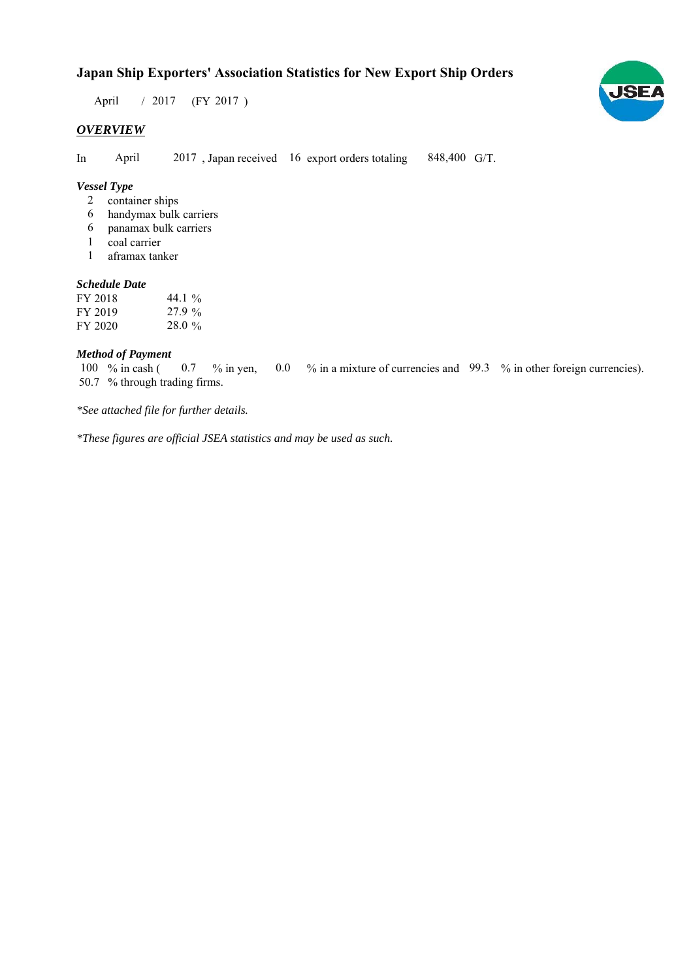## **Japan Ship Exporters' Association Statistics for New Export Ship Orders**

 $/ 2017$  (FY 2017) April

## *OVERVIEW*

In April 2017, Japan received 16 export orders totaling 848,400 G/T. April

## *Vessel Type*

- container ships 2
- handymax bulk carriers 6
- panamax bulk carriers 6
- coal carrier 1
- aframax tanker 1

#### *Schedule Date*

| FY 2018 | 44.1 $\%$ |
|---------|-----------|
| FY 2019 | 27.9%     |
| FY 2020 | 28.0%     |

#### *Method of Payment*

% in cash ( $\ 0.7\$  % in yen,  $\ 0.0\$  % in a mixture of currencies and  $\ 99.3\$  % in other foreign currencies). 50.7 % through trading firms. 100 % in cash ( 0.7

*\*See attached file for further details.*

*\*These figures are official JSEA statistics and may be used as such.*

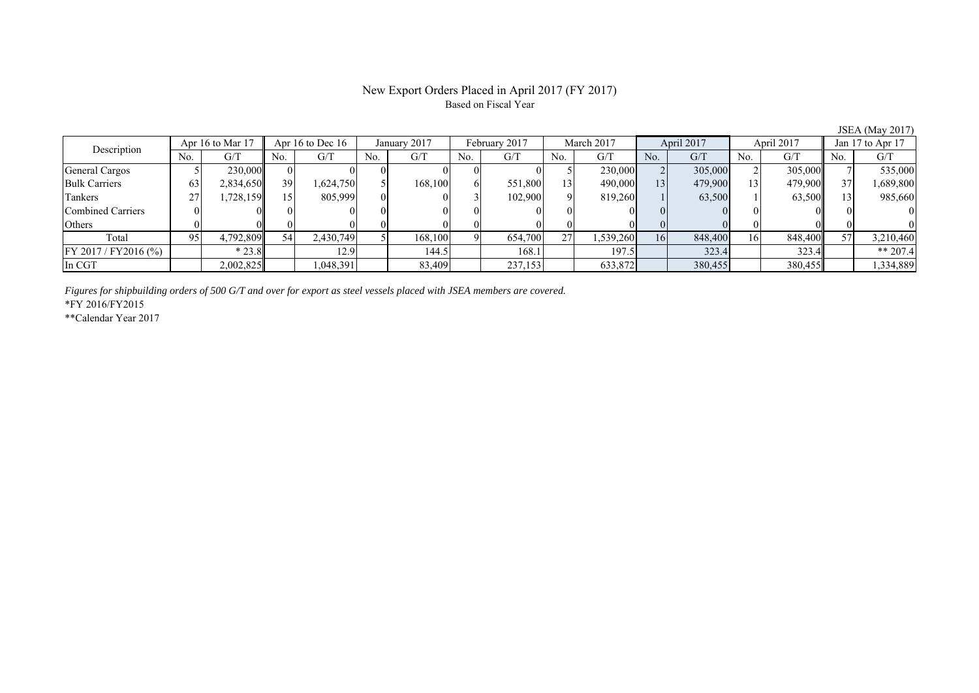### New Export Orders Placed in April 2017 (FY 2017) Based on Fiscal Year

| Description          |     | Apr 16 to Mar 17 |     | Apr 16 to Dec $16$ | January 2017 |         | February 2017 |         | March 2017 |           | April 2017      |         | April 2017 |         | Jan 17 to Apr 17 |           |
|----------------------|-----|------------------|-----|--------------------|--------------|---------|---------------|---------|------------|-----------|-----------------|---------|------------|---------|------------------|-----------|
|                      | No. | G/T              | No. | G/T                | No.          | G/T     | No.           | G/T     | No.        | G/T       | No.             | G/T     | No.        | G/T     | N <sub>0</sub>   | G/T       |
| General Cargos       |     | 230,000          | 01  |                    |              |         |               |         |            | 230,000   |                 | 305,000 |            | 305,000 |                  | 535,000   |
| <b>Bulk Carriers</b> | 63  | 2,834,650        | 39  | 1,624,750          |              | 168,100 | ΩI            | 551,800 | 13         | 490,000   | 13              | 479,900 |            | 479.900 |                  | ,689,800  |
| Tankers              | 27  | .728,159         | 15  | 805,999            |              |         |               | 102.900 |            | 819.260   |                 | 63,500  |            | 63,500  |                  | 985,660   |
| Combined Carriers    |     |                  |     |                    |              |         |               |         |            |           |                 |         |            |         |                  |           |
| Others               |     |                  |     |                    |              |         |               |         |            |           |                 |         |            |         |                  |           |
| Total                | 95  | 4,792,809        | 54  | 2,430,749          |              | 168,100 |               | 654,700 | 27         | 1,539,260 | 16 <sup>1</sup> | 848,400 | 16         | 848,400 |                  | 3,210,460 |
| FY 2017/FY2016 (%)   |     | $*23.8$          |     | 12.9               |              | 144.5   |               | 168.1   |            | 197.5     |                 | 323.4   |            | 323.4   |                  | ** 207.4  |
| In CGT               |     | 2,002,825        |     | ,048,391           |              | 83,409  |               | 237,153 |            | 633,872   |                 | 380,455 |            | 380,455 |                  | 1,334,889 |

*Figures for shipbuilding orders of 500 G/T and over for export as steel vessels placed with JSEA members are covered.*

\*FY 2016/FY2015

\*\*Calendar Year 2017

JSEA (May 2017)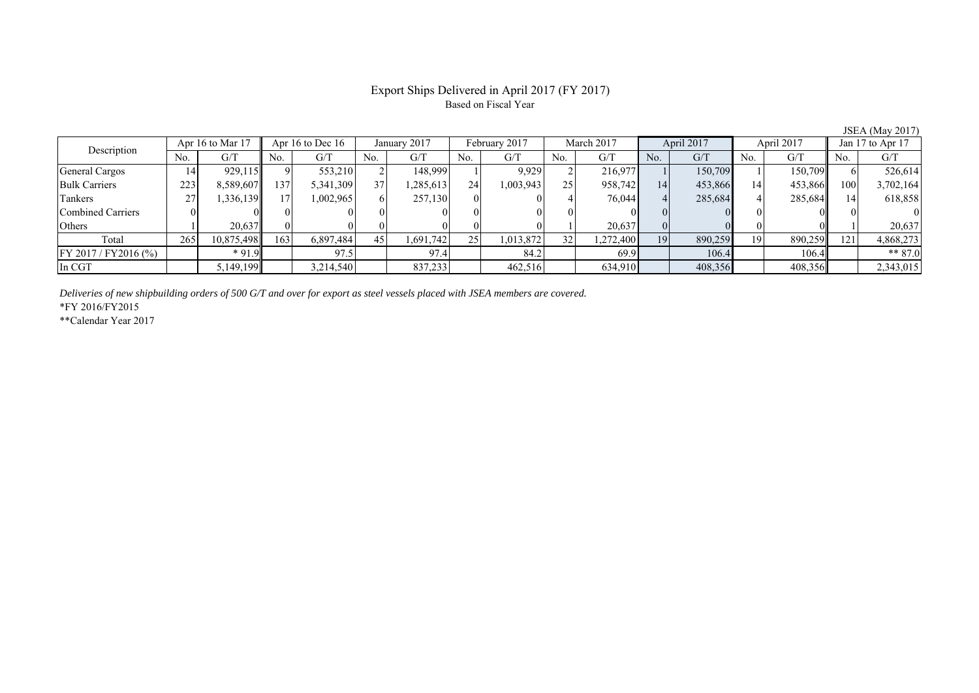## Export Ships Delivered in April 2017 (FY 2017) Based on Fiscal Year

| $\cdots$                 |                    |            |     |                    |     |              |     |               |     |            |                |            |     |            |     |                  |  |
|--------------------------|--------------------|------------|-----|--------------------|-----|--------------|-----|---------------|-----|------------|----------------|------------|-----|------------|-----|------------------|--|
| Description              | Apr 16 to Mar $17$ |            |     | Apr 16 to Dec $16$ |     | January 2017 |     | February 2017 |     | March 2017 |                | April 2017 |     | April 2017 |     | Jan 17 to Apr 17 |  |
|                          | No.                | G/T        | No. | G/T                | No. | G/T          | No. | G/T           | No. | G/T        | N <sub>0</sub> | G/T        | No. | G/T        | No. | G/T              |  |
| General Cargos           | 14                 | 929.115    |     | 553,210            |     | 148.999      |     | 9.929         |     | 216,977    |                | 150.709    |     | 150,709    |     | 526,614          |  |
| <b>Bulk Carriers</b>     | 223                | 8,589,607  | 137 | 5,341,309          | 37  | .285.613     | 24  | 1,003,943     | 25  | 958,742    | 14             | 453,866    | 14  | 453,866    | 100 | 3,702,164        |  |
| Tankers                  | 27                 | 336,139    |     | 1,002,965          |     | 257,130      |     |               |     | 76,044     |                | 285,684    |     | 285,684    |     | 618,858          |  |
| <b>Combined Carriers</b> |                    |            |     |                    |     |              |     |               |     |            |                |            |     |            |     |                  |  |
| Others                   |                    | 20,637     |     |                    |     |              |     |               |     | 20,637     |                |            |     |            |     | 20,637           |  |
| Total                    | 265                | 10,875,498 | 163 | 6,897,484          | 45  | 1,691,742    | 25  | 1,013,872     | 32  | 1,272,400  | 19             | 890,259    | 19  | 890,259    | 2   | 4,868,273        |  |
| $FY 2017 / FY 2016$ (%)  |                    | $*91.9$    |     | 97.5               |     | 97.4         |     | 84.2          |     | 69.9       |                | 106.4      |     | 106.4      |     | $** 87.0$        |  |
| In CGT                   |                    | 5,149,199  |     | 3,214,540          |     | 837,233      |     | 462,516       |     | 634,910    |                | 408,356    |     | 408,356    |     | 2,343,015        |  |

*Deliveries of new shipbuilding orders of 500 G/T and over for export as steel vessels placed with JSEA members are covered.*

\*FY 2016/FY2015

\*\*Calendar Year 2017

JSEA (May 2017)